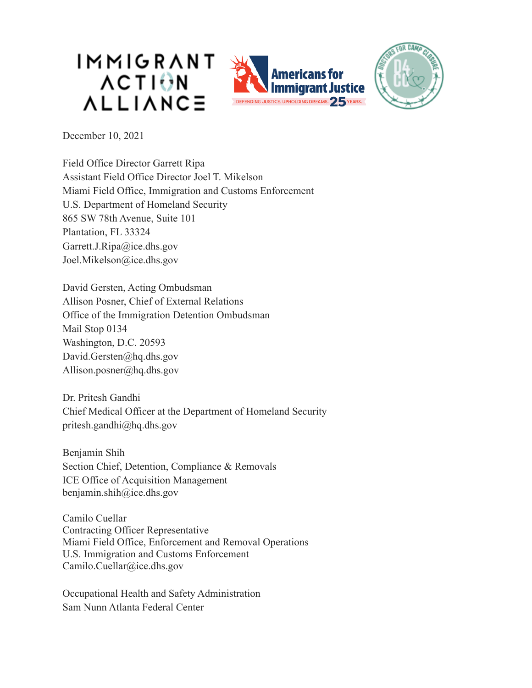





December 10, 2021

Field Office Director Garrett Ripa Assistant Field Office Director Joel T. Mikelson Miami Field Office, Immigration and Customs Enforcement U.S. Department of Homeland Security 865 SW 78th Avenue, Suite 101 Plantation, FL 33324 Garrett.J.Ripa@ice.dhs.gov Joel.Mikelson@ice.dhs.gov

David Gersten, Acting Ombudsman Allison Posner, Chief of External Relations Office of the Immigration Detention Ombudsman Mail Stop 0134 Washington, D.C. 20593 David.Gersten@hq.dhs.gov Allison.posner@hq.dhs.gov

Dr. Pritesh Gandhi Chief Medical Officer at the Department of Homeland Security pritesh.gandhi@hq.dhs.gov

Benjamin Shih Section Chief, Detention, Compliance & Removals ICE Office of Acquisition Management benjamin.shih@ice.dhs.gov

Camilo Cuellar Contracting Officer Representative Miami Field Office, Enforcement and Removal Operations U.S. Immigration and Customs Enforcement Camilo.Cuellar@ice.dhs.gov

Occupational Health and Safety Administration Sam Nunn Atlanta Federal Center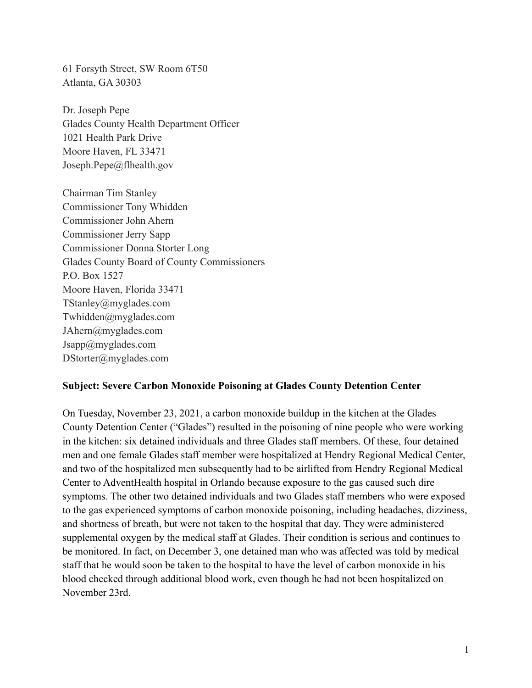61 Forsyth Street, SW Room 6T50 Atlanta, GA 30303

Dr. Joseph Pepe Glades County Health Department Officer 1021 Health Park Drive Moore Haven, FL 33471 Joseph.Pepe@flhealth.gov

Chairman Tim Stanley Commissioner Tony Whidden Commissioner John Ahern Commissioner Jerry Sapp Commissioner Donna Storter Long Glades County Board of County Commissioners P.O. Box 1527 Moore Haven, Florida 33471 [TStanley@myglades.com](mailto:TStanley@myglades.com) [Twhidden@myglades.com](mailto:twhidden@myglades.com) [JAhern@myglades.com](mailto:JAhern@myglades.com) Jsapp@myglades.com DStorter@myglades.com

## **Subject: Severe Carbon Monoxide Poisoning at Glades County Detention Center**

On Tuesday, November 23, 2021, a carbon monoxide buildup in the kitchen at the Glades County Detention Center ("Glades") resulted in the poisoning of nine people who were working in the kitchen: six detained individuals and three Glades staff members. Of these, four detained men and one female Glades staff member were hospitalized at Hendry Regional Medical Center, and two of the hospitalized men subsequently had to be airlifted from Hendry Regional Medical Center to AdventHealth hospital in Orlando because exposure to the gas caused such dire symptoms. The other two detained individuals and two Glades staff members who were exposed to the gas experienced symptoms of carbon monoxide poisoning, including headaches, dizziness, and shortness of breath, but were not taken to the hospital that day. They were administered supplemental oxygen by the medical staff at Glades. Their condition is serious and continues to be monitored. In fact, on December 3, one detained man who was affected was told by medical staff that he would soon be taken to the hospital to have the level of carbon monoxide in his blood checked through additional blood work, even though he had not been hospitalized on November 23rd.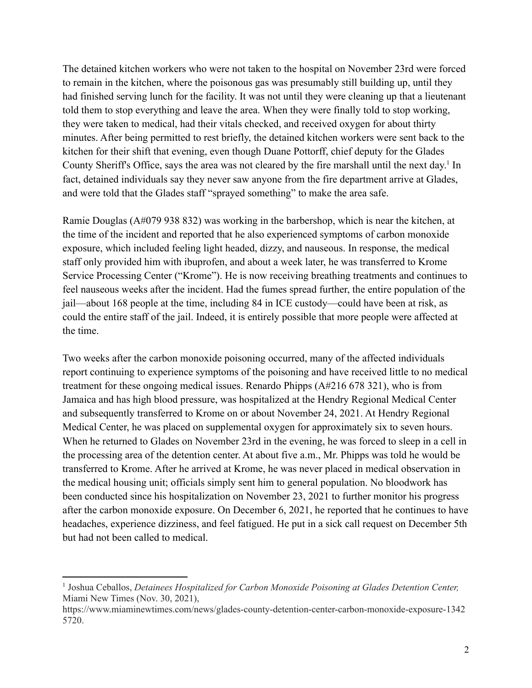The detained kitchen workers who were not taken to the hospital on November 23rd were forced to remain in the kitchen, where the poisonous gas was presumably still building up, until they had finished serving lunch for the facility. It was not until they were cleaning up that a lieutenant told them to stop everything and leave the area. When they were finally told to stop working, they were taken to medical, had their vitals checked, and received oxygen for about thirty minutes. After being permitted to rest briefly, the detained kitchen workers were sent back to the kitchen for their shift that evening, even though Duane Pottorff, chief deputy for the Glades County Sheriff's Office, says the area was not cleared by the fire marshall until the next day.<sup>1</sup> In fact, detained individuals say they never saw anyone from the fire department arrive at Glades, and were told that the Glades staff "sprayed something" to make the area safe.

Ramie Douglas (A#079 938 832) was working in the barbershop, which is near the kitchen, at the time of the incident and reported that he also experienced symptoms of carbon monoxide exposure, which included feeling light headed, dizzy, and nauseous. In response, the medical staff only provided him with ibuprofen, and about a week later, he was transferred to Krome Service Processing Center ("Krome"). He is now receiving breathing treatments and continues to feel nauseous weeks after the incident. Had the fumes spread further, the entire population of the jail––about 168 people at the time, including 84 in ICE custody––could have been at risk, as could the entire staff of the jail. Indeed, it is entirely possible that more people were affected at the time.

Two weeks after the carbon monoxide poisoning occurred, many of the affected individuals report continuing to experience symptoms of the poisoning and have received little to no medical treatment for these ongoing medical issues. Renardo Phipps (A#216 678 321), who is from Jamaica and has high blood pressure, was hospitalized at the Hendry Regional Medical Center and subsequently transferred to Krome on or about November 24, 2021. At Hendry Regional Medical Center, he was placed on supplemental oxygen for approximately six to seven hours. When he returned to Glades on November 23rd in the evening, he was forced to sleep in a cell in the processing area of the detention center. At about five a.m., Mr. Phipps was told he would be transferred to Krome. After he arrived at Krome, he was never placed in medical observation in the medical housing unit; officials simply sent him to general population. No bloodwork has been conducted since his hospitalization on November 23, 2021 to further monitor his progress after the carbon monoxide exposure. On December 6, 2021, he reported that he continues to have headaches, experience dizziness, and feel fatigued. He put in a sick call request on December 5th but had not been called to medical.

<sup>1</sup> Joshua Ceballos, *Detainees Hospitalized for Carbon Monoxide Poisoning at Glades Detention Center,* Miami New Times (Nov. 30, 2021),

https://www.miaminewtimes.com/news/glades-county-detention-center-carbon-monoxide-exposure-1342 5720.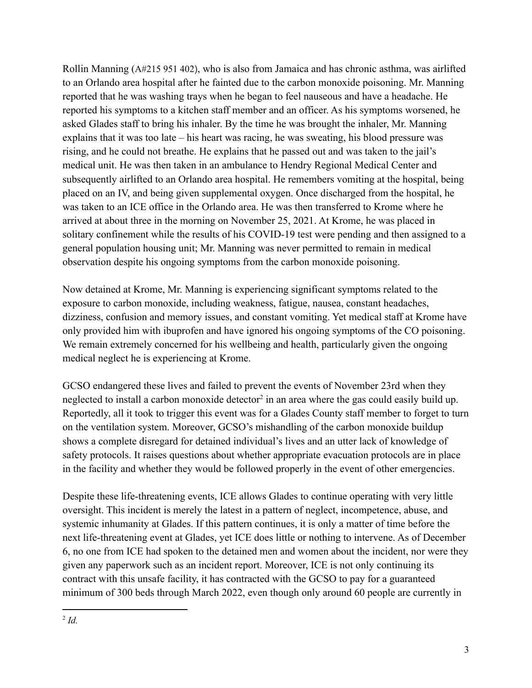Rollin Manning (A#215 951 402), who is also from Jamaica and has chronic asthma, was airlifted to an Orlando area hospital after he fainted due to the carbon monoxide poisoning. Mr. Manning reported that he was washing trays when he began to feel nauseous and have a headache. He reported his symptoms to a kitchen staff member and an officer. As his symptoms worsened, he asked Glades staff to bring his inhaler. By the time he was brought the inhaler, Mr. Manning explains that it was too late – his heart was racing, he was sweating, his blood pressure was rising, and he could not breathe. He explains that he passed out and was taken to the jail's medical unit. He was then taken in an ambulance to Hendry Regional Medical Center and subsequently airlifted to an Orlando area hospital. He remembers vomiting at the hospital, being placed on an IV, and being given supplemental oxygen. Once discharged from the hospital, he was taken to an ICE office in the Orlando area. He was then transferred to Krome where he arrived at about three in the morning on November 25, 2021. At Krome, he was placed in solitary confinement while the results of his COVID-19 test were pending and then assigned to a general population housing unit; Mr. Manning was never permitted to remain in medical observation despite his ongoing symptoms from the carbon monoxide poisoning.

Now detained at Krome, Mr. Manning is experiencing significant symptoms related to the exposure to carbon monoxide, including weakness, fatigue, nausea, constant headaches, dizziness, confusion and memory issues, and constant vomiting. Yet medical staff at Krome have only provided him with ibuprofen and have ignored his ongoing symptoms of the CO poisoning. We remain extremely concerned for his wellbeing and health, particularly given the ongoing medical neglect he is experiencing at Krome.

GCSO endangered these lives and failed to prevent the events of November 23rd when they neglected to install a carbon monoxide detector<sup>2</sup> in an area where the gas could easily build up. Reportedly, all it took to trigger this event was for a Glades County staff member to forget to turn on the ventilation system. Moreover, GCSO's mishandling of the carbon monoxide buildup shows a complete disregard for detained individual's lives and an utter lack of knowledge of safety protocols. It raises questions about whether appropriate evacuation protocols are in place in the facility and whether they would be followed properly in the event of other emergencies.

Despite these life-threatening events, ICE allows Glades to continue operating with very little oversight. This incident is merely the latest in a pattern of neglect, incompetence, abuse, and systemic inhumanity at Glades. If this pattern continues, it is only a matter of time before the next life-threatening event at Glades, yet ICE does little or nothing to intervene. As of December 6, no one from ICE had spoken to the detained men and women about the incident, nor were they given any paperwork such as an incident report. Moreover, ICE is not only continuing its contract with this unsafe facility, it has contracted with the GCSO to pay for a guaranteed minimum of 300 beds through March 2022, even though only around 60 people are currently in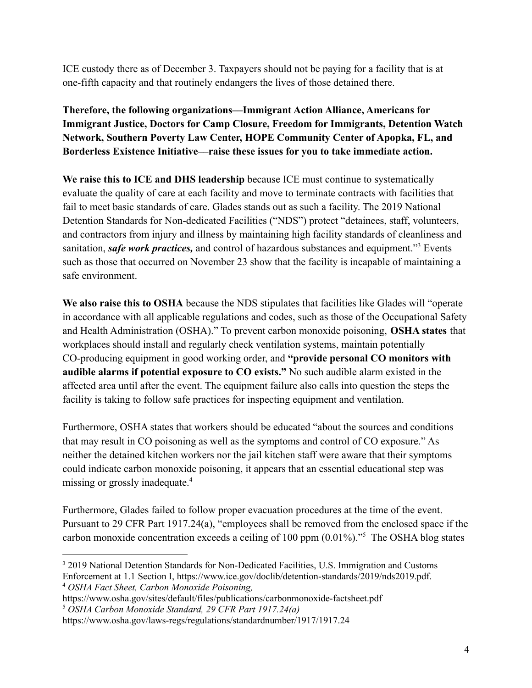ICE custody there as of December 3. Taxpayers should not be paying for a facility that is at one-fifth capacity and that routinely endangers the lives of those detained there.

**Therefore, the following organizations––Immigrant Action Alliance, Americans for Immigrant Justice, Doctors for Camp Closure, Freedom for Immigrants, Detention Watch Network, Southern Poverty Law Center, HOPE Community Center of Apopka, FL, and Borderless Existence Initiative––raise these issues for you to take immediate action.**

**We raise this to ICE and DHS leadership** because ICE must continue to systematically evaluate the quality of care at each facility and move to terminate contracts with facilities that fail to meet basic standards of care. Glades stands out as such a facility. The 2019 National Detention Standards for Non-dedicated Facilities ("NDS") protect "detainees, staff, volunteers, and contractors from injury and illness by maintaining high facility standards of cleanliness and sanitation, *safe work practices,* and control of hazardous substances and equipment."<sup>3</sup> Events such as those that occurred on November 23 show that the facility is incapable of maintaining a safe environment.

**We also raise this to OSHA** because the NDS stipulates that facilities like Glades will "operate in accordance with all applicable regulations and codes, such as those of the Occupational Safety and Health Administration (OSHA)." To prevent carbon monoxide poisoning, **OSHA states** that workplaces should install and regularly check ventilation systems, maintain potentially CO-producing equipment in good working order, and **"provide personal CO monitors with audible alarms if potential exposure to CO exists."** No such audible alarm existed in the affected area until after the event. The equipment failure also calls into question the steps the facility is taking to follow safe practices for inspecting equipment and ventilation.

Furthermore, OSHA states that workers should be educated "about the sources and conditions that may result in CO poisoning as well as the symptoms and control of CO exposure." As neither the detained kitchen workers nor the jail kitchen staff were aware that their symptoms could indicate carbon monoxide poisoning, it appears that an essential educational step was missing or grossly inadequate.<sup>4</sup>

Furthermore, Glades failed to follow proper evacuation procedures at the time of the event. Pursuant to 29 CFR Part 1917.24(a), "employees shall be removed from the enclosed space if the carbon monoxide concentration exceeds a ceiling of 100 ppm  $(0.01\%)$ ."<sup>5</sup> The OSHA blog states

<sup>4</sup> *OSHA Fact Sheet, Carbon Monoxide Poisoning,* <sup>3</sup> 2019 National Detention Standards for Non-Dedicated Facilities, U.S. Immigration and Customs Enforcement at 1.1 Section I, https://www.ice.gov/doclib/detention-standards/2019/nds2019.pdf.

<sup>5</sup> *OSHA Carbon Monoxide Standard, 29 CFR Part 1917.24(a)* https://www.osha.gov/sites/default/files/publications/carbonmonoxide-factsheet.pdf

https://www.osha.gov/laws-regs/regulations/standardnumber/1917/1917.24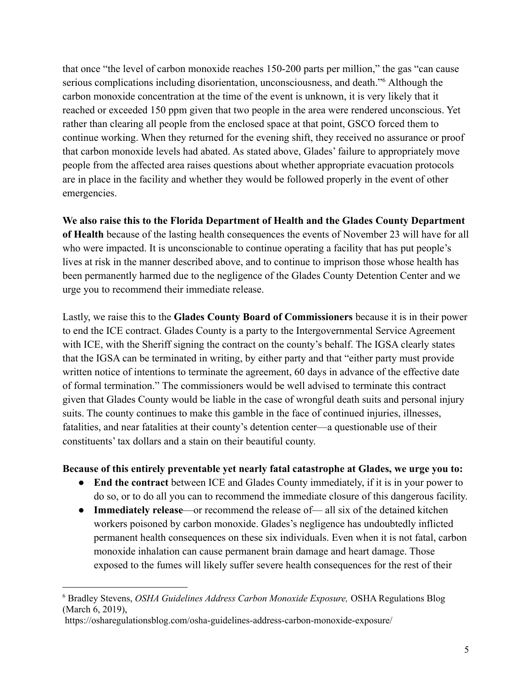that once "the level of carbon monoxide reaches 150-200 parts per million," the gas "can cause serious complications including disorientation, unconsciousness, and death."<sup>6</sup> Although the carbon monoxide concentration at the time of the event is unknown, it is very likely that it reached or exceeded 150 ppm given that two people in the area were rendered unconscious. Yet rather than clearing all people from the enclosed space at that point, GSCO forced them to continue working. When they returned for the evening shift, they received no assurance or proof that carbon monoxide levels had abated. As stated above, Glades' failure to appropriately move people from the affected area raises questions about whether appropriate evacuation protocols are in place in the facility and whether they would be followed properly in the event of other emergencies.

**We also raise this to the Florida Department of Health and the Glades County Department of Health** because of the lasting health consequences the events of November 23 will have for all who were impacted. It is unconscionable to continue operating a facility that has put people's lives at risk in the manner described above, and to continue to imprison those whose health has been permanently harmed due to the negligence of the Glades County Detention Center and we urge you to recommend their immediate release.

Lastly, we raise this to the **Glades County Board of Commissioners** because it is in their power to end the ICE contract. Glades County is a party to the Intergovernmental Service Agreement with ICE, with the Sheriff signing the contract on the county's behalf. The IGSA clearly states that the IGSA can be terminated in writing, by either party and that "either party must provide written notice of intentions to terminate the agreement, 60 days in advance of the effective date of formal termination." The commissioners would be well advised to terminate this contract given that Glades County would be liable in the case of wrongful death suits and personal injury suits. The county continues to make this gamble in the face of continued injuries, illnesses, fatalities, and near fatalities at their county's detention center––a questionable use of their constituents' tax dollars and a stain on their beautiful county.

## **Because of this entirely preventable yet nearly fatal catastrophe at Glades, we urge you to:**

- **End the contract** between ICE and Glades County immediately, if it is in your power to do so, or to do all you can to recommend the immediate closure of this dangerous facility.
- **Immediately release**—or recommend the release of— all six of the detained kitchen workers poisoned by carbon monoxide. Glades's negligence has undoubtedly inflicted permanent health consequences on these six individuals. Even when it is not fatal, carbon monoxide inhalation can cause permanent brain damage and heart damage. Those exposed to the fumes will likely suffer severe health consequences for the rest of their

<sup>6</sup> Bradley Stevens, *OSHA Guidelines Address Carbon Monoxide Exposure,* OSHA Regulations Blog (March 6, 2019),

https://osharegulationsblog.com/osha-guidelines-address-carbon-monoxide-exposure/